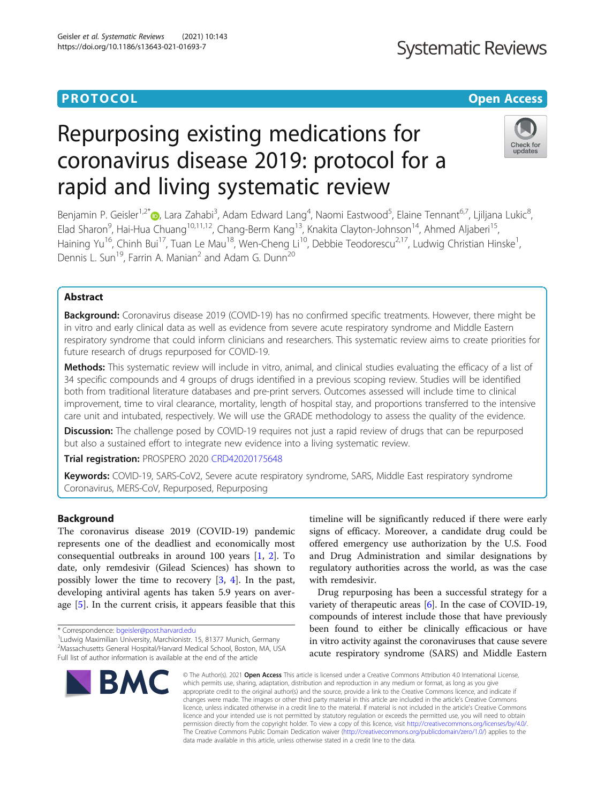# **PROTOCOL CONSUMING THE OPEN ACCESS**

# **Systematic Reviews**

# Repurposing existing medications for coronavirus disease 2019: protocol for a rapid and living systematic review



Benjamin P. Geisler<sup>1,2[\\*](http://orcid.org/0000-0003-1704-6067)</sup>®, Lara Zahabi<sup>3</sup>, Adam Edward Lang<sup>4</sup>, Naomi Eastwood<sup>5</sup>, Elaine Tennant<sup>6,7</sup>, Ljiljana Lukic<sup>8</sup> , Elad Sharon<sup>9</sup>, Hai-Hua Chuang<sup>10,11,12</sup>, Chang-Berm Kang<sup>13</sup>, Knakita Clayton-Johnson<sup>14</sup>, Ahmed Aljaberi<sup>15</sup>, Haining Yu<sup>16</sup>, Chinh Bui<sup>17</sup>, Tuan Le Mau<sup>18</sup>, Wen-Cheng Li<sup>10</sup>, Debbie Teodorescu<sup>2,17</sup>, Ludwig Christian Hinske<sup>1</sup>, , Dennis L. Sun<sup>19</sup>, Farrin A. Manian<sup>2</sup> and Adam G. Dunn<sup>20</sup>

# Abstract

Background: Coronavirus disease 2019 (COVID-19) has no confirmed specific treatments. However, there might be in vitro and early clinical data as well as evidence from severe acute respiratory syndrome and Middle Eastern respiratory syndrome that could inform clinicians and researchers. This systematic review aims to create priorities for future research of drugs repurposed for COVID-19.

Methods: This systematic review will include in vitro, animal, and clinical studies evaluating the efficacy of a list of 34 specific compounds and 4 groups of drugs identified in a previous scoping review. Studies will be identified both from traditional literature databases and pre-print servers. Outcomes assessed will include time to clinical improvement, time to viral clearance, mortality, length of hospital stay, and proportions transferred to the intensive care unit and intubated, respectively. We will use the GRADE methodology to assess the quality of the evidence.

**Discussion:** The challenge posed by COVID-19 requires not just a rapid review of drugs that can be repurposed but also a sustained effort to integrate new evidence into a living systematic review.

Trial registration: PROSPERO 2020 [CRD42020175648](https://www.crd.york.ac.uk/prospero/display_record.php?RecordID=175648)

Keywords: COVID-19, SARS-CoV2, Severe acute respiratory syndrome, SARS, Middle East respiratory syndrome Coronavirus, MERS-CoV, Repurposed, Repurposing

# Background

The coronavirus disease 2019 (COVID-19) pandemic represents one of the deadliest and economically most consequential outbreaks in around 100 years [\[1](#page-3-0), [2](#page-4-0)]. To date, only remdesivir (Gilead Sciences) has shown to possibly lower the time to recovery [\[3](#page-4-0), [4\]](#page-4-0). In the past, developing antiviral agents has taken 5.9 years on average [[5\]](#page-4-0). In the current crisis, it appears feasible that this

\* Correspondence: [bgeisler@post.harvard.edu](mailto:bgeisler@post.harvard.edu) <sup>1</sup>

<sup>1</sup> Ludwig Maximilian University, Marchionistr. 15, 81377 Munich, Germany 2 Massachusetts General Hospital/Harvard Medical School, Boston, MA, USA Full list of author information is available at the end of the article



timeline will be significantly reduced if there were early signs of efficacy. Moreover, a candidate drug could be offered emergency use authorization by the U.S. Food and Drug Administration and similar designations by regulatory authorities across the world, as was the case with remdesivir.

Drug repurposing has been a successful strategy for a variety of therapeutic areas [\[6](#page-4-0)]. In the case of COVID-19, compounds of interest include those that have previously been found to either be clinically efficacious or have in vitro activity against the coronaviruses that cause severe acute respiratory syndrome (SARS) and Middle Eastern

© The Author(s), 2021 **Open Access** This article is licensed under a Creative Commons Attribution 4.0 International License, which permits use, sharing, adaptation, distribution and reproduction in any medium or format, as long as you give appropriate credit to the original author(s) and the source, provide a link to the Creative Commons licence, and indicate if changes were made. The images or other third party material in this article are included in the article's Creative Commons licence, unless indicated otherwise in a credit line to the material. If material is not included in the article's Creative Commons licence and your intended use is not permitted by statutory regulation or exceeds the permitted use, you will need to obtain permission directly from the copyright holder. To view a copy of this licence, visit [http://creativecommons.org/licenses/by/4.0/.](http://creativecommons.org/licenses/by/4.0/) The Creative Commons Public Domain Dedication waiver [\(http://creativecommons.org/publicdomain/zero/1.0/](http://creativecommons.org/publicdomain/zero/1.0/)) applies to the data made available in this article, unless otherwise stated in a credit line to the data.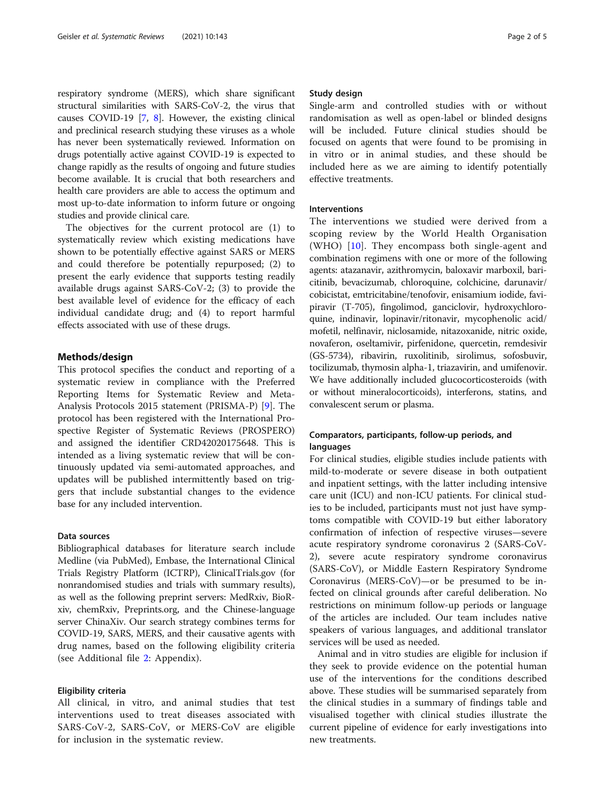respiratory syndrome (MERS), which share significant structural similarities with SARS-CoV-2, the virus that causes COVID-19 [\[7](#page-4-0), [8](#page-4-0)]. However, the existing clinical and preclinical research studying these viruses as a whole has never been systematically reviewed. Information on drugs potentially active against COVID-19 is expected to change rapidly as the results of ongoing and future studies become available. It is crucial that both researchers and health care providers are able to access the optimum and most up-to-date information to inform future or ongoing studies and provide clinical care.

The objectives for the current protocol are (1) to systematically review which existing medications have shown to be potentially effective against SARS or MERS and could therefore be potentially repurposed; (2) to present the early evidence that supports testing readily available drugs against SARS-CoV-2; (3) to provide the best available level of evidence for the efficacy of each individual candidate drug; and (4) to report harmful effects associated with use of these drugs.

#### Methods/design

This protocol specifies the conduct and reporting of a systematic review in compliance with the Preferred Reporting Items for Systematic Review and Meta-Analysis Protocols 2015 statement (PRISMA-P) [[9](#page-4-0)]. The protocol has been registered with the International Prospective Register of Systematic Reviews (PROSPERO) and assigned the identifier CRD42020175648. This is intended as a living systematic review that will be continuously updated via semi-automated approaches, and updates will be published intermittently based on triggers that include substantial changes to the evidence base for any included intervention.

### Data sources

Bibliographical databases for literature search include Medline (via PubMed), Embase, the International Clinical Trials Registry Platform (ICTRP), ClinicalTrials.gov (for nonrandomised studies and trials with summary results), as well as the following preprint servers: MedRxiv, BioRxiv, chemRxiv, Preprints.org, and the Chinese-language server ChinaXiv. Our search strategy combines terms for COVID-19, SARS, MERS, and their causative agents with drug names, based on the following eligibility criteria (see Additional file [2](#page-3-0): Appendix).

### Eligibility criteria

All clinical, in vitro, and animal studies that test interventions used to treat diseases associated with SARS-CoV-2, SARS-CoV, or MERS-CoV are eligible for inclusion in the systematic review.

#### Study design

Single-arm and controlled studies with or without randomisation as well as open-label or blinded designs will be included. Future clinical studies should be focused on agents that were found to be promising in in vitro or in animal studies, and these should be included here as we are aiming to identify potentially effective treatments.

#### Interventions

The interventions we studied were derived from a scoping review by the World Health Organisation (WHO) [\[10](#page-4-0)]. They encompass both single-agent and combination regimens with one or more of the following agents: atazanavir, azithromycin, baloxavir marboxil, baricitinib, bevacizumab, chloroquine, colchicine, darunavir/ cobicistat, emtricitabine/tenofovir, enisamium iodide, favipiravir (T-705), fingolimod, ganciclovir, hydroxychloroquine, indinavir, lopinavir/ritonavir, mycophenolic acid/ mofetil, nelfinavir, niclosamide, nitazoxanide, nitric oxide, novaferon, oseltamivir, pirfenidone, quercetin, remdesivir (GS-5734), ribavirin, ruxolitinib, sirolimus, sofosbuvir, tocilizumab, thymosin alpha-1, triazavirin, and umifenovir. We have additionally included glucocorticosteroids (with or without mineralocorticoids), interferons, statins, and convalescent serum or plasma.

# Comparators, participants, follow-up periods, and languages

For clinical studies, eligible studies include patients with mild-to-moderate or severe disease in both outpatient and inpatient settings, with the latter including intensive care unit (ICU) and non-ICU patients. For clinical studies to be included, participants must not just have symptoms compatible with COVID-19 but either laboratory confirmation of infection of respective viruses—severe acute respiratory syndrome coronavirus 2 (SARS-CoV-2), severe acute respiratory syndrome coronavirus (SARS-CoV), or Middle Eastern Respiratory Syndrome Coronavirus (MERS-CoV)—or be presumed to be infected on clinical grounds after careful deliberation. No restrictions on minimum follow-up periods or language of the articles are included. Our team includes native speakers of various languages, and additional translator services will be used as needed.

Animal and in vitro studies are eligible for inclusion if they seek to provide evidence on the potential human use of the interventions for the conditions described above. These studies will be summarised separately from the clinical studies in a summary of findings table and visualised together with clinical studies illustrate the current pipeline of evidence for early investigations into new treatments.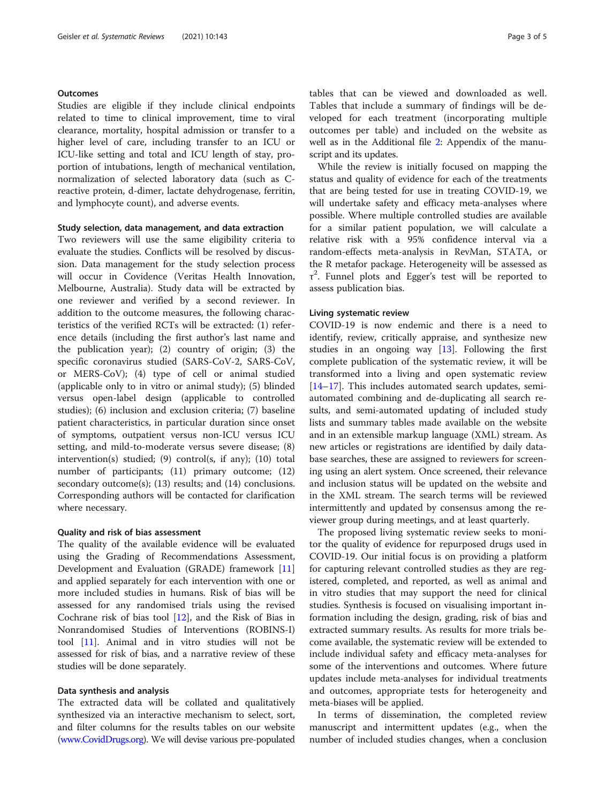# **Outcomes**

Studies are eligible if they include clinical endpoints related to time to clinical improvement, time to viral clearance, mortality, hospital admission or transfer to a higher level of care, including transfer to an ICU or ICU-like setting and total and ICU length of stay, proportion of intubations, length of mechanical ventilation, normalization of selected laboratory data (such as Creactive protein, d-dimer, lactate dehydrogenase, ferritin, and lymphocyte count), and adverse events.

#### Study selection, data management, and data extraction

Two reviewers will use the same eligibility criteria to evaluate the studies. Conflicts will be resolved by discussion. Data management for the study selection process will occur in Covidence (Veritas Health Innovation, Melbourne, Australia). Study data will be extracted by one reviewer and verified by a second reviewer. In addition to the outcome measures, the following characteristics of the verified RCTs will be extracted: (1) reference details (including the first author's last name and the publication year); (2) country of origin; (3) the specific coronavirus studied (SARS-CoV-2, SARS-CoV, or MERS-CoV); (4) type of cell or animal studied (applicable only to in vitro or animal study); (5) blinded versus open-label design (applicable to controlled studies); (6) inclusion and exclusion criteria; (7) baseline patient characteristics, in particular duration since onset of symptoms, outpatient versus non-ICU versus ICU setting, and mild-to-moderate versus severe disease; (8) intervention(s) studied; (9) control(s, if any); (10) total number of participants; (11) primary outcome; (12) secondary outcome(s); (13) results; and (14) conclusions. Corresponding authors will be contacted for clarification where necessary.

#### Quality and risk of bias assessment

The quality of the available evidence will be evaluated using the Grading of Recommendations Assessment, Development and Evaluation (GRADE) framework [[11](#page-4-0)] and applied separately for each intervention with one or more included studies in humans. Risk of bias will be assessed for any randomised trials using the revised Cochrane risk of bias tool [[12\]](#page-4-0), and the Risk of Bias in Nonrandomised Studies of Interventions (ROBINS-I) tool [[11](#page-4-0)]. Animal and in vitro studies will not be assessed for risk of bias, and a narrative review of these studies will be done separately.

#### Data synthesis and analysis

The extracted data will be collated and qualitatively synthesized via an interactive mechanism to select, sort, and filter columns for the results tables on our website ([www.CovidDrugs.org](http://www.coviddrugs.org)). We will devise various pre-populated

tables that can be viewed and downloaded as well. Tables that include a summary of findings will be developed for each treatment (incorporating multiple outcomes per table) and included on the website as well as in the Additional file [2:](#page-3-0) Appendix of the manuscript and its updates.

While the review is initially focused on mapping the status and quality of evidence for each of the treatments that are being tested for use in treating COVID-19, we will undertake safety and efficacy meta-analyses where possible. Where multiple controlled studies are available for a similar patient population, we will calculate a relative risk with a 95% confidence interval via a random-effects meta-analysis in RevMan, STATA, or the R metafor package. Heterogeneity will be assessed as τ 2 . Funnel plots and Egger's test will be reported to assess publication bias.

### Living systematic review

COVID-19 is now endemic and there is a need to identify, review, critically appraise, and synthesize new studies in an ongoing way [\[13\]](#page-4-0). Following the first complete publication of the systematic review, it will be transformed into a living and open systematic review [[14](#page-4-0)–[17](#page-4-0)]. This includes automated search updates, semiautomated combining and de-duplicating all search results, and semi-automated updating of included study lists and summary tables made available on the website and in an extensible markup language (XML) stream. As new articles or registrations are identified by daily database searches, these are assigned to reviewers for screening using an alert system. Once screened, their relevance and inclusion status will be updated on the website and in the XML stream. The search terms will be reviewed intermittently and updated by consensus among the reviewer group during meetings, and at least quarterly.

The proposed living systematic review seeks to monitor the quality of evidence for repurposed drugs used in COVID-19. Our initial focus is on providing a platform for capturing relevant controlled studies as they are registered, completed, and reported, as well as animal and in vitro studies that may support the need for clinical studies. Synthesis is focused on visualising important information including the design, grading, risk of bias and extracted summary results. As results for more trials become available, the systematic review will be extended to include individual safety and efficacy meta-analyses for some of the interventions and outcomes. Where future updates include meta-analyses for individual treatments and outcomes, appropriate tests for heterogeneity and meta-biases will be applied.

In terms of dissemination, the completed review manuscript and intermittent updates (e.g., when the number of included studies changes, when a conclusion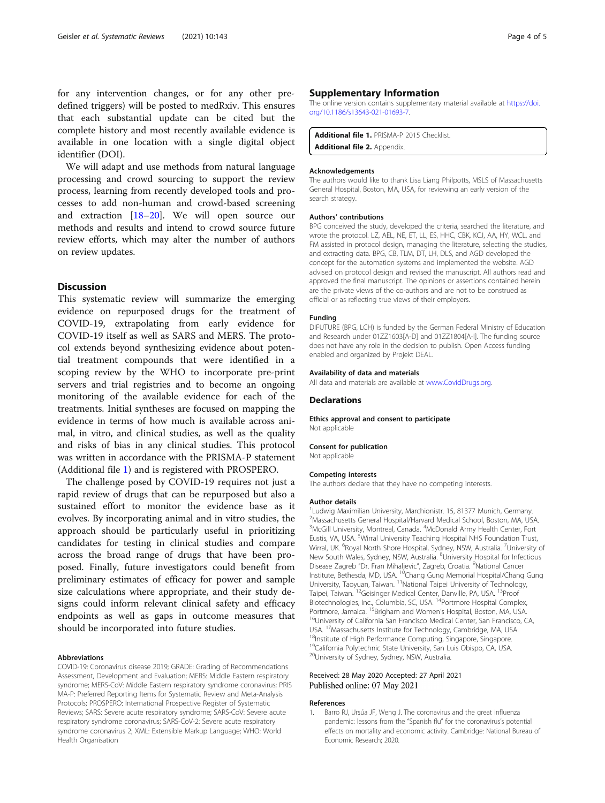<span id="page-3-0"></span>for any intervention changes, or for any other predefined triggers) will be posted to medRxiv. This ensures that each substantial update can be cited but the complete history and most recently available evidence is available in one location with a single digital object identifier (DOI).

We will adapt and use methods from natural language processing and crowd sourcing to support the review process, learning from recently developed tools and processes to add non-human and crowd-based screening and extraction [\[18](#page-4-0)–[20\]](#page-4-0). We will open source our methods and results and intend to crowd source future review efforts, which may alter the number of authors on review updates.

## **Discussion**

This systematic review will summarize the emerging evidence on repurposed drugs for the treatment of COVID-19, extrapolating from early evidence for COVID-19 itself as well as SARS and MERS. The protocol extends beyond synthesizing evidence about potential treatment compounds that were identified in a scoping review by the WHO to incorporate pre-print servers and trial registries and to become an ongoing monitoring of the available evidence for each of the treatments. Initial syntheses are focused on mapping the evidence in terms of how much is available across animal, in vitro, and clinical studies, as well as the quality and risks of bias in any clinical studies. This protocol was written in accordance with the PRISMA-P statement (Additional file 1) and is registered with PROSPERO.

The challenge posed by COVID-19 requires not just a rapid review of drugs that can be repurposed but also a sustained effort to monitor the evidence base as it evolves. By incorporating animal and in vitro studies, the approach should be particularly useful in prioritizing candidates for testing in clinical studies and compare across the broad range of drugs that have been proposed. Finally, future investigators could benefit from preliminary estimates of efficacy for power and sample size calculations where appropriate, and their study designs could inform relevant clinical safety and efficacy endpoints as well as gaps in outcome measures that should be incorporated into future studies.

#### Abbreviations

COVID-19: Coronavirus disease 2019; GRADE: Grading of Recommendations Assessment, Development and Evaluation; MERS: Middle Eastern respiratory syndrome; MERS-CoV: Middle Eastern respiratory syndrome coronavirus; PRIS MA-P: Preferred Reporting Items for Systematic Review and Meta-Analysis Protocols; PROSPERO: International Prospective Register of Systematic Reviews; SARS: Severe acute respiratory syndrome; SARS-CoV: Severe acute respiratory syndrome coronavirus; SARS-CoV-2: Severe acute respiratory syndrome coronavirus 2; XML: Extensible Markup Language; WHO: World Health Organisation

#### Supplementary Information

The online version contains supplementary material available at [https://doi.](https://doi.org/10.1186/s13643-021-01693-7) [org/10.1186/s13643-021-01693-7.](https://doi.org/10.1186/s13643-021-01693-7)

Additional file 1. PRISMA-P 2015 Checklist Additional file 2. Appendix.

#### Acknowledgements

The authors would like to thank Lisa Liang Philpotts, MSLS of Massachusetts General Hospital, Boston, MA, USA, for reviewing an early version of the search strategy.

#### Authors' contributions

BPG conceived the study, developed the criteria, searched the literature, and wrote the protocol. LZ, AEL, NE, ET, LL, ES, HHC, CBK, KCJ, AA, HY, WCL, and FM assisted in protocol design, managing the literature, selecting the studies, and extracting data. BPG, CB, TLM, DT, LH, DLS, and AGD developed the concept for the automation systems and implemented the website. AGD advised on protocol design and revised the manuscript. All authors read and approved the final manuscript. The opinions or assertions contained herein are the private views of the co-authors and are not to be construed as official or as reflecting true views of their employers.

#### Funding

DIFUTURE (BPG, LCH) is funded by the German Federal Ministry of Education and Research under 01ZZ1603[A-D] and 01ZZ1804[A-I]. The funding source does not have any role in the decision to publish. Open Access funding enabled and organized by Projekt DEAL.

#### Availability of data and materials

All data and materials are available at [www.CovidDrugs.org.](http://www.coviddrugs.org)

#### **Declarations**

Ethics approval and consent to participate Not applicable

#### Consent for publication

Not applicable

#### Competing interests

The authors declare that they have no competing interests.

#### Author details

<sup>1</sup> Ludwig Maximilian University, Marchionistr. 15, 81377 Munich, Germany. 2 Massachusetts General Hospital/Harvard Medical School, Boston, MA, USA. <sup>3</sup>McGill University, Montreal, Canada. <sup>4</sup>McDonald Army Health Center, Fort Eustis, VA, USA. <sup>5</sup>Wirral University Teaching Hospital NHS Foundation Trust, Wirral, UK. <sup>6</sup>Royal North Shore Hospital, Sydney, NSW, Australia. <sup>7</sup>University of New South Wales, Sydney, NSW, Australia. <sup>8</sup>University Hospital for Infectious Disease Zagreb "Dr. Fran Mihaljevic", Zagreb, Croatia. <sup>9</sup>National Cancer Institute, Bethesda, MD, USA. 10Chang Gung Memorial Hospital/Chang Gung University, Taoyuan, Taiwan. 11National Taipei University of Technology, Taipei, Taiwan. 12Geisinger Medical Center, Danville, PA, USA. 13Proof Biotechnologies, Inc., Columbia, SC, USA. 14Portmore Hospital Complex, Portmore, Jamaica. <sup>15</sup>Brigham and Women's Hospital, Boston, MA, USA.<br><sup>16</sup>University of California San Francisco Medical Center, San Francisco, CA, USA. <sup>17</sup>Massachusetts Institute for Technology, Cambridge, MA, USA. <sup>18</sup>Institute of High Performance Computing, Singapore, Singapore. <sup>19</sup>California Polytechnic State University, San Luis Obispo, CA, USA. 20University of Sydney, Sydney, NSW, Australia.

#### Received: 28 May 2020 Accepted: 27 April 2021 Published online: 07 May 2021

#### References

1. Barro RJ, Ursúa JF, Weng J. The coronavirus and the great influenza pandemic: lessons from the "Spanish flu" for the coronavirus's potential effects on mortality and economic activity. Cambridge: National Bureau of Economic Research; 2020.